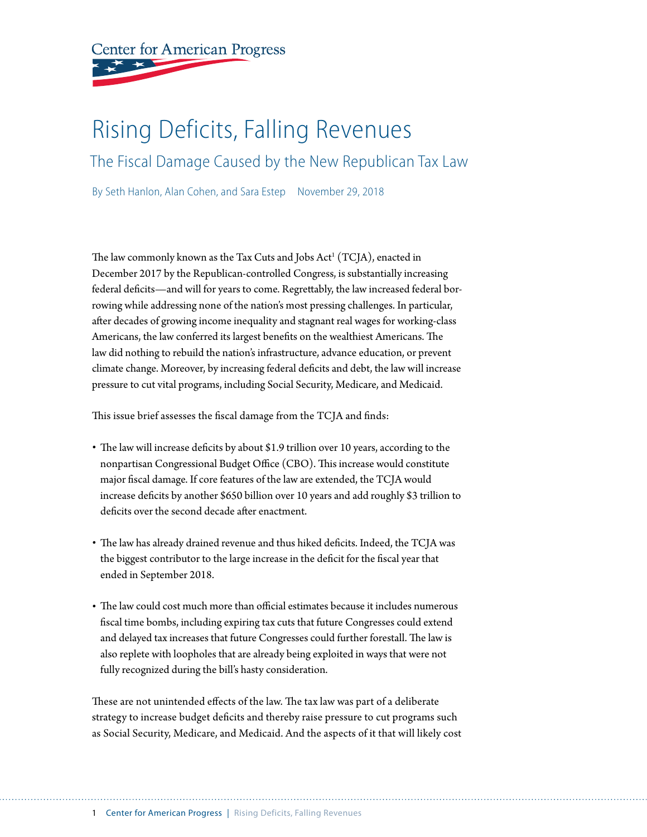

# Rising Deficits, Falling Revenues

The Fiscal Damage Caused by the New Republican Tax Law

By Seth Hanlon, Alan Cohen, and Sara Estep November 29, 2018

The law commonly known as the Tax Cuts and Jobs  $\operatorname{Act}^{\scriptscriptstyle 1}(\operatorname{TCJA})$ , enacted in December 2017 by the Republican-controlled Congress, is substantially increasing federal deficits—and will for years to come. Regrettably, the law increased federal borrowing while addressing none of the nation's most pressing challenges. In particular, after decades of growing income inequality and stagnant real wages for working-class Americans, the law conferred its largest benefits on the wealthiest Americans. The law did nothing to rebuild the nation's infrastructure, advance education, or prevent climate change. Moreover, by increasing federal deficits and debt, the law will increase pressure to cut vital programs, including Social Security, Medicare, and Medicaid.

This issue brief assesses the fiscal damage from the TCJA and finds:

- The law will increase deficits by about \$1.9 trillion over 10 years, according to the nonpartisan Congressional Budget Office (CBO). This increase would constitute major fiscal damage. If core features of the law are extended, the TCJA would increase deficits by another \$650 billion over 10 years and add roughly \$3 trillion to deficits over the second decade after enactment.
- The law has already drained revenue and thus hiked deficits. Indeed, the TCJA was the biggest contributor to the large increase in the deficit for the fiscal year that ended in September 2018.
- The law could cost much more than official estimates because it includes numerous fiscal time bombs, including expiring tax cuts that future Congresses could extend and delayed tax increases that future Congresses could further forestall. The law is also replete with loopholes that are already being exploited in ways that were not fully recognized during the bill's hasty consideration.

These are not unintended effects of the law. The tax law was part of a deliberate strategy to increase budget deficits and thereby raise pressure to cut programs such as Social Security, Medicare, and Medicaid. And the aspects of it that will likely cost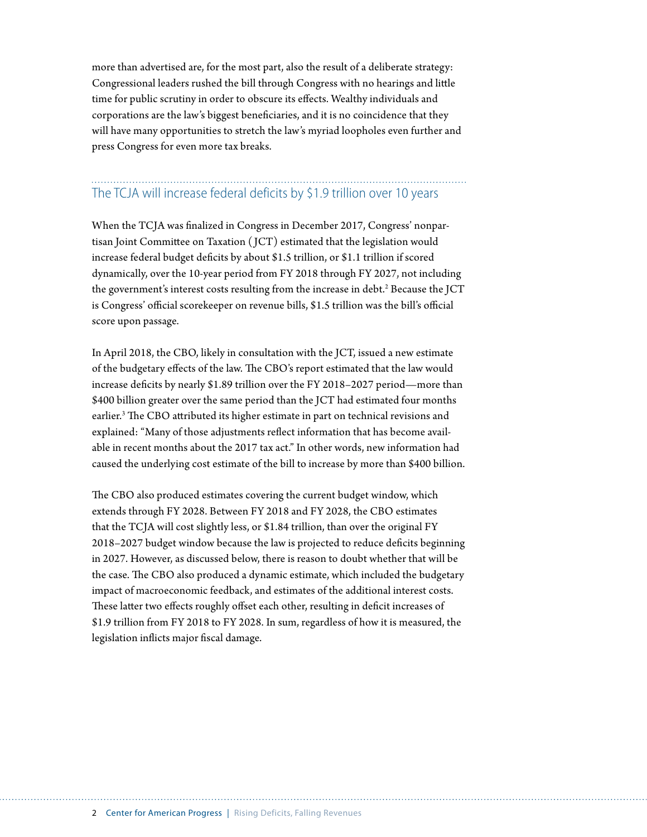more than advertised are, for the most part, also the result of a deliberate strategy: Congressional leaders rushed the bill through Congress with no hearings and little time for public scrutiny in order to obscure its effects. Wealthy individuals and corporations are the law's biggest beneficiaries, and it is no coincidence that they will have many opportunities to stretch the law's myriad loopholes even further and press Congress for even more tax breaks.

## The TCJA will increase federal deficits by \$1.9 trillion over 10 years

When the TCJA was finalized in Congress in December 2017, Congress' nonpartisan Joint Committee on Taxation ( JCT) estimated that the legislation would increase federal budget deficits by about \$1.5 trillion, or \$1.1 trillion if scored dynamically, over the 10-year period from FY 2018 through FY 2027, not including the government's interest costs resulting from the increase in debt.<sup>2</sup> Because the JCT is Congress' official scorekeeper on revenue bills, \$1.5 trillion was the bill's official score upon passage.

In April 2018, the CBO, likely in consultation with the JCT, issued a new estimate of the budgetary effects of the law. The CBO's report estimated that the law would increase deficits by nearly \$1.89 trillion over the FY 2018–2027 period—more than \$400 billion greater over the same period than the JCT had estimated four months earlier.<sup>3</sup> The CBO attributed its higher estimate in part on technical revisions and explained: "Many of those adjustments reflect information that has become available in recent months about the 2017 tax act." In other words, new information had caused the underlying cost estimate of the bill to increase by more than \$400 billion.

The CBO also produced estimates covering the current budget window, which extends through FY 2028. Between FY 2018 and FY 2028, the CBO estimates that the TCJA will cost slightly less, or \$1.84 trillion, than over the original FY 2018–2027 budget window because the law is projected to reduce deficits beginning in 2027. However, as discussed below, there is reason to doubt whether that will be the case. The CBO also produced a dynamic estimate, which included the budgetary impact of macroeconomic feedback, and estimates of the additional interest costs. These latter two effects roughly offset each other, resulting in deficit increases of \$1.9 trillion from FY 2018 to FY 2028. In sum, regardless of how it is measured, the legislation inflicts major fiscal damage.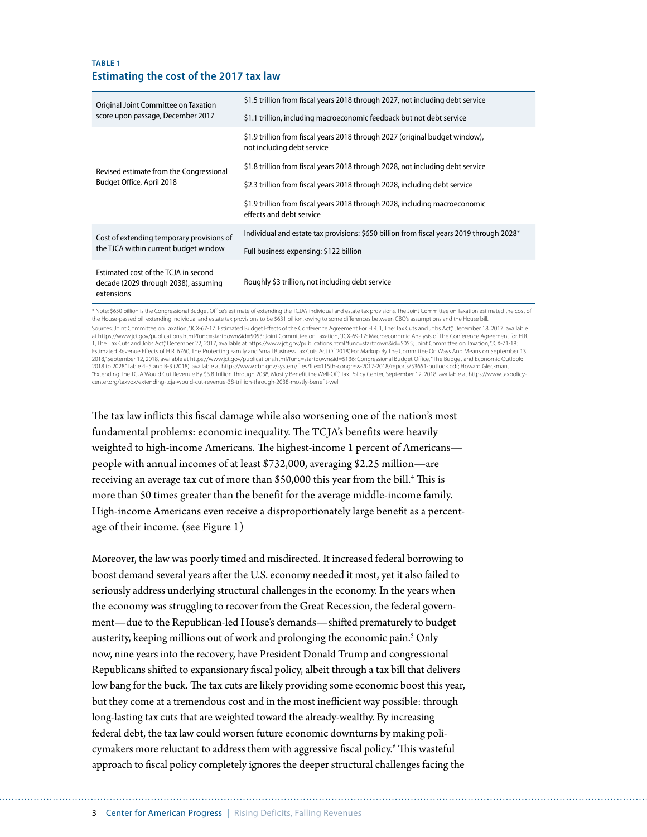#### **TABLE 1 Estimating the cost of the 2017 tax law**

| Original Joint Committee on Taxation<br>score upon passage, December 2017                  | \$1.5 trillion from fiscal years 2018 through 2027, not including debt service                             |
|--------------------------------------------------------------------------------------------|------------------------------------------------------------------------------------------------------------|
|                                                                                            | \$1.1 trillion, including macroeconomic feedback but not debt service                                      |
| Revised estimate from the Congressional<br>Budget Office, April 2018                       | \$1.9 trillion from fiscal years 2018 through 2027 (original budget window),<br>not including debt service |
|                                                                                            | \$1.8 trillion from fiscal years 2018 through 2028, not including debt service                             |
|                                                                                            | \$2.3 trillion from fiscal years 2018 through 2028, including debt service                                 |
|                                                                                            | \$1.9 trillion from fiscal years 2018 through 2028, including macroeconomic<br>effects and debt service    |
| Cost of extending temporary provisions of<br>the TJCA within current budget window         | Individual and estate tax provisions: \$650 billion from fiscal years 2019 through 2028*                   |
|                                                                                            | Full business expensing: \$122 billion                                                                     |
| Estimated cost of the TCJA in second<br>decade (2029 through 2038), assuming<br>extensions | Roughly \$3 trillion, not including debt service                                                           |

\* Note: \$650 billion is the Congressional Budget Office's estimate of extending the TCJA's individual and estate tax provisions. The Joint Committee on Taxation estimated the cost of the House-passed bill extending individual and estate tax provisions to be \$631 billion, owing to some differences between CBO's assumptions and the House bill. Sources: Joint Committee on Taxation, "JCX-67-17: Estimated Budget Effects of the Conference Agreement For H.R. 1, The 'Tax Cuts and Jobs Act", December 18, 2017, available at https://www.jct.gov/publications.html?func=startdown&id=5053; Joint Committee on Taxation,"JCX-69-17: Macroeconomic Analysis of The Conference Agreement for H.R.<br>1, The 'Tax Cuts and Jobs Act'," December 22, 2017, avail Estimated Revenue Effects of H.R. 6760, The 'Protecting Family and Small Business Tax Cuts Act Of 2018,' For Markup By The Committee On Ways And Means on September 13, 2018," September 12, 2018, available at https://www.jct.gov/publications.html?func=startdown&id=5136; Congressional Budget Office, "The Budget and Economic Outlook:<br>2018 to 2028,"Table 4–5 and B-3 (2018), available at http "Extending The TCJA Would Cut Revenue By \$3.8 Trillion Through 2038, Mostly Benefit the Well-Off," Tax Policy Center, September 12, 2018, available at https://www.taxpolicycenter.org/taxvox/extending-tcja-would-cut-revenue-38-trillion-through-2038-mostly-benefit-well.

The tax law inflicts this fiscal damage while also worsening one of the nation's most fundamental problems: economic inequality. The TCJA's benefits were heavily weighted to high-income Americans. The highest-income 1 percent of Americans people with annual incomes of at least \$732,000, averaging \$2.25 million—are receiving an average tax cut of more than \$50,000 this year from the bill.<sup>4</sup> This is more than 50 times greater than the benefit for the average middle-income family. High-income Americans even receive a disproportionately large benefit as a percentage of their income. (see Figure 1)

Moreover, the law was poorly timed and misdirected. It increased federal borrowing to boost demand several years after the U.S. economy needed it most, yet it also failed to seriously address underlying structural challenges in the economy. In the years when the economy was struggling to recover from the Great Recession, the federal government—due to the Republican-led House's demands—shifted prematurely to budget austerity, keeping millions out of work and prolonging the economic pain.<sup>5</sup> Only now, nine years into the recovery, have President Donald Trump and congressional Republicans shifted to expansionary fiscal policy, albeit through a tax bill that delivers low bang for the buck. The tax cuts are likely providing some economic boost this year, but they come at a tremendous cost and in the most inefficient way possible: through long-lasting tax cuts that are weighted toward the already-wealthy. By increasing federal debt, the tax law could worsen future economic downturns by making policymakers more reluctant to address them with aggressive fiscal policy.<sup>6</sup> This wasteful approach to fiscal policy completely ignores the deeper structural challenges facing the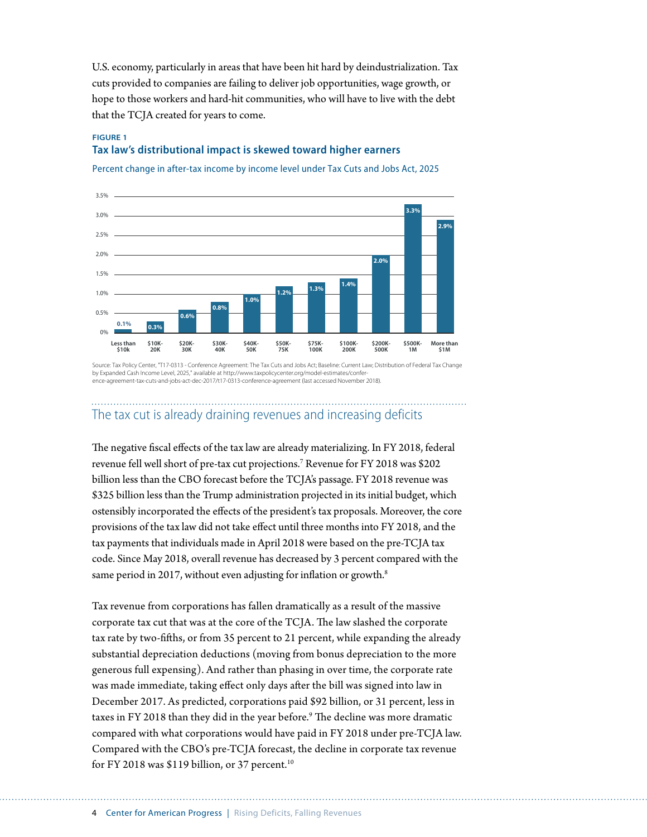U.S. economy, particularly in areas that have been hit hard by deindustrialization. Tax cuts provided to companies are failing to deliver job opportunities, wage growth, or hope to those workers and hard-hit communities, who will have to live with the debt that the TCJA created for years to come.

#### **FIGURE 1 Tax law's distributional impact is skewed toward higher earners**

Percent change in after-tax income by income level under Tax Cuts and Jobs Act, 2025



Source: Tax Policy Center, "T17-0313 - Conference Agreement: The Tax Cuts and Jobs Act; Baseline: Current Law; Distribution of Federal Tax Change by Expanded Cash Income Level, 2025," available at http://www.taxpolicycenter.org/model-estimates/conference-agreement-tax-cuts-and-jobs-act-dec-2017/t17-0313-conference-agreement (last accessed November 2018).

## The tax cut is already draining revenues and increasing deficits

The negative fiscal effects of the tax law are already materializing. In FY 2018, federal revenue fell well short of pre-tax cut projections.7 Revenue for FY 2018 was \$202 billion less than the CBO forecast before the TCJA's passage. FY 2018 revenue was \$325 billion less than the Trump administration projected in its initial budget, which ostensibly incorporated the effects of the president's tax proposals. Moreover, the core provisions of the tax law did not take effect until three months into FY 2018, and the tax payments that individuals made in April 2018 were based on the pre-TCJA tax code. Since May 2018, overall revenue has decreased by 3 percent compared with the same period in 2017, without even adjusting for inflation or growth.<sup>8</sup>

Tax revenue from corporations has fallen dramatically as a result of the massive corporate tax cut that was at the core of the TCJA. The law slashed the corporate tax rate by two-fifths, or from 35 percent to 21 percent, while expanding the already substantial depreciation deductions (moving from bonus depreciation to the more generous full expensing). And rather than phasing in over time, the corporate rate was made immediate, taking effect only days after the bill was signed into law in December 2017. As predicted, corporations paid \$92 billion, or 31 percent, less in taxes in FY 2018 than they did in the year before.9 The decline was more dramatic compared with what corporations would have paid in FY 2018 under pre-TCJA law. Compared with the CBO's pre-TCJA forecast, the decline in corporate tax revenue for FY 2018 was \$119 billion, or 37 percent.<sup>10</sup>

4 Center for American Progress | Rising Deficits, Falling Revenues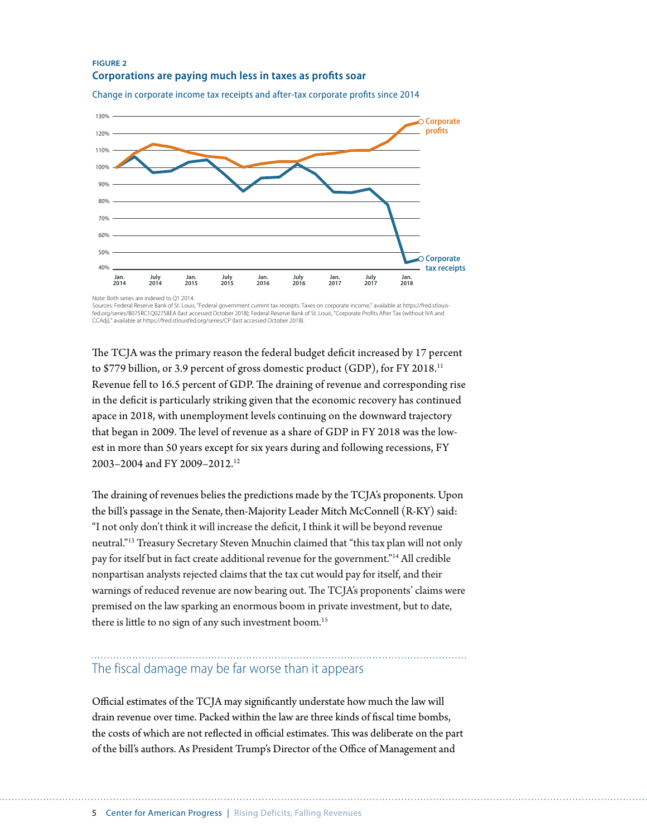#### **FIGURE 2 Corporations are paying much less in taxes as profits soar**



Change in corporate income tax receipts and after-tax corporate profits since 2014

Sources: Federal Reserve Bank of St. Louis, "Federal government current tax receipts: Taxes on corporate income," available at https://fred.stlouisfed.org/series/B075RC1Q027SBEA (last accessed October 2018); Federal Reserve Bank of St. Louis, "Corporate Prots After Tax (without IVA and CCAdj)," available at https://fred.stlouisfed.org/series/CP (last accessed October 2018).

The TCJA was the primary reason the federal budget deficit increased by 17 percent to \$779 billion, or 3.9 percent of gross domestic product (GDP), for FY 2018.11 Revenue fell to 16.5 percent of GDP. The draining of revenue and corresponding rise in the deficit is particularly striking given that the economic recovery has continued apace in 2018, with unemployment levels continuing on the downward trajectory that began in 2009. The level of revenue as a share of GDP in FY 2018 was the lowest in more than 50 years except for six years during and following recessions, FY 2003–2004 and FY 2009–2012.12

The draining of revenues belies the predictions made by the TCJA's proponents. Upon the bill's passage in the Senate, then-Majority Leader Mitch McConnell (R-KY) said: "I not only don't think it will increase the deficit, I think it will be beyond revenue neutral."13 Treasury Secretary Steven Mnuchin claimed that "this tax plan will not only pay for itself but in fact create additional revenue for the government."14 All credible nonpartisan analysts rejected claims that the tax cut would pay for itself, and their warnings of reduced revenue are now bearing out. The TCJA's proponents' claims were premised on the law sparking an enormous boom in private investment, but to date, there is little to no sign of any such investment boom.<sup>15</sup>

## The fiscal damage may be far worse than it appears

Official estimates of the TCJA may significantly understate how much the law will drain revenue over time. Packed within the law are three kinds of fiscal time bombs, the costs of which are not reflected in official estimates. This was deliberate on the part of the bill's authors. As President Trump's Director of the Office of Management and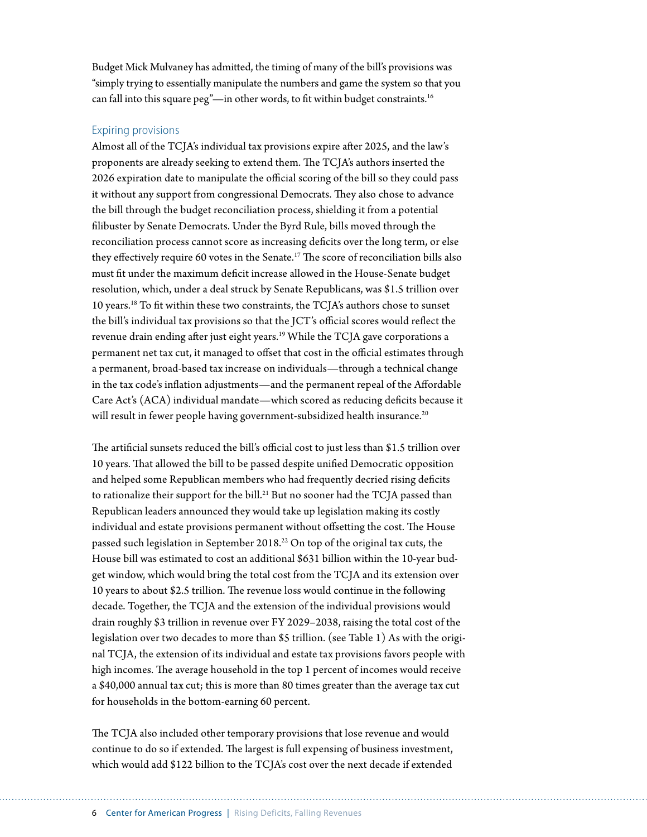Budget Mick Mulvaney has admitted, the timing of many of the bill's provisions was "simply trying to essentially manipulate the numbers and game the system so that you can fall into this square peg"-in other words, to fit within budget constraints.<sup>16</sup>

#### Expiring provisions

Almost all of the TCJA's individual tax provisions expire after 2025, and the law's proponents are already seeking to extend them. The TCJA's authors inserted the 2026 expiration date to manipulate the official scoring of the bill so they could pass it without any support from congressional Democrats. They also chose to advance the bill through the budget reconciliation process, shielding it from a potential filibuster by Senate Democrats. Under the Byrd Rule, bills moved through the reconciliation process cannot score as increasing deficits over the long term, or else they effectively require 60 votes in the Senate.17 The score of reconciliation bills also must fit under the maximum deficit increase allowed in the House-Senate budget resolution, which, under a deal struck by Senate Republicans, was \$1.5 trillion over 10 years.18 To fit within these two constraints, the TCJA's authors chose to sunset the bill's individual tax provisions so that the JCT's official scores would reflect the revenue drain ending after just eight years.<sup>19</sup> While the TCJA gave corporations a permanent net tax cut, it managed to offset that cost in the official estimates through a permanent, broad-based tax increase on individuals—through a technical change in the tax code's inflation adjustments—and the permanent repeal of the Affordable Care Act's (ACA) individual mandate—which scored as reducing deficits because it will result in fewer people having government-subsidized health insurance.<sup>20</sup>

The artificial sunsets reduced the bill's official cost to just less than \$1.5 trillion over 10 years. That allowed the bill to be passed despite unified Democratic opposition and helped some Republican members who had frequently decried rising deficits to rationalize their support for the bill.<sup>21</sup> But no sooner had the TCJA passed than Republican leaders announced they would take up legislation making its costly individual and estate provisions permanent without offsetting the cost. The House passed such legislation in September 2018.22 On top of the original tax cuts, the House bill was estimated to cost an additional \$631 billion within the 10-year budget window, which would bring the total cost from the TCJA and its extension over 10 years to about \$2.5 trillion. The revenue loss would continue in the following decade. Together, the TCJA and the extension of the individual provisions would drain roughly \$3 trillion in revenue over FY 2029–2038, raising the total cost of the legislation over two decades to more than \$5 trillion. (see Table 1) As with the original TCJA, the extension of its individual and estate tax provisions favors people with high incomes. The average household in the top 1 percent of incomes would receive a \$40,000 annual tax cut; this is more than 80 times greater than the average tax cut for households in the bottom-earning 60 percent.

The TCJA also included other temporary provisions that lose revenue and would continue to do so if extended. The largest is full expensing of business investment, which would add \$122 billion to the TCJA's cost over the next decade if extended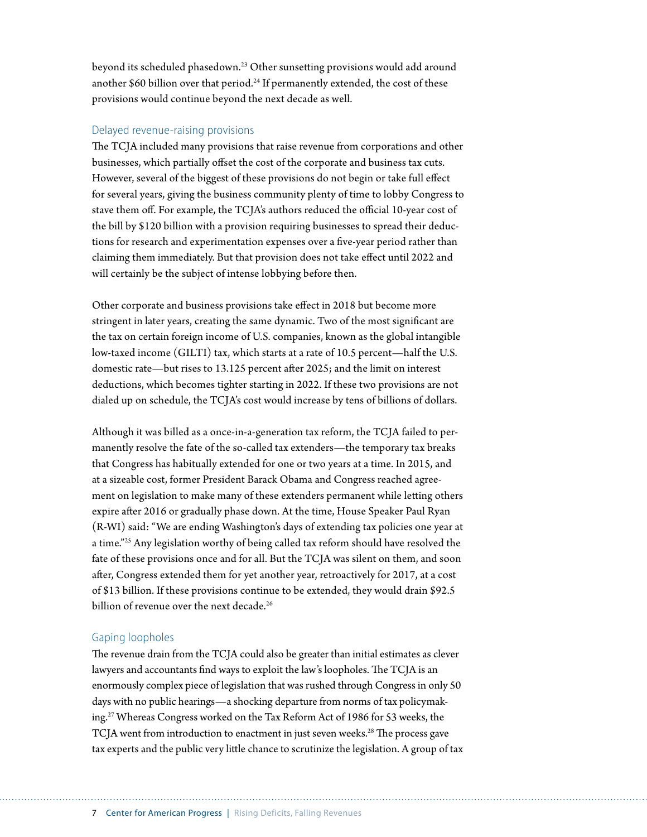beyond its scheduled phasedown.<sup>23</sup> Other sunsetting provisions would add around another  $$60$  billion over that period.<sup>24</sup> If permanently extended, the cost of these provisions would continue beyond the next decade as well.

#### Delayed revenue-raising provisions

The TCJA included many provisions that raise revenue from corporations and other businesses, which partially offset the cost of the corporate and business tax cuts. However, several of the biggest of these provisions do not begin or take full effect for several years, giving the business community plenty of time to lobby Congress to stave them off. For example, the TCJA's authors reduced the official 10-year cost of the bill by \$120 billion with a provision requiring businesses to spread their deductions for research and experimentation expenses over a five-year period rather than claiming them immediately. But that provision does not take effect until 2022 and will certainly be the subject of intense lobbying before then.

Other corporate and business provisions take effect in 2018 but become more stringent in later years, creating the same dynamic. Two of the most significant are the tax on certain foreign income of U.S. companies, known as the global intangible low-taxed income (GILTI) tax, which starts at a rate of 10.5 percent—half the U.S. domestic rate—but rises to 13.125 percent after 2025; and the limit on interest deductions, which becomes tighter starting in 2022. If these two provisions are not dialed up on schedule, the TCJA's cost would increase by tens of billions of dollars.

Although it was billed as a once-in-a-generation tax reform, the TCJA failed to permanently resolve the fate of the so-called tax extenders—the temporary tax breaks that Congress has habitually extended for one or two years at a time. In 2015, and at a sizeable cost, former President Barack Obama and Congress reached agreement on legislation to make many of these extenders permanent while letting others expire after 2016 or gradually phase down. At the time, House Speaker Paul Ryan (R-WI) said: "We are ending Washington's days of extending tax policies one year at a time."25 Any legislation worthy of being called tax reform should have resolved the fate of these provisions once and for all. But the TCJA was silent on them, and soon after, Congress extended them for yet another year, retroactively for 2017, at a cost of \$13 billion. If these provisions continue to be extended, they would drain \$92.5 billion of revenue over the next decade.<sup>26</sup>

#### Gaping loopholes

The revenue drain from the TCJA could also be greater than initial estimates as clever lawyers and accountants find ways to exploit the law's loopholes. The TCJA is an enormously complex piece of legislation that was rushed through Congress in only 50 days with no public hearings—a shocking departure from norms of tax policymaking.27 Whereas Congress worked on the Tax Reform Act of 1986 for 53 weeks, the TCJA went from introduction to enactment in just seven weeks.<sup>28</sup> The process gave tax experts and the public very little chance to scrutinize the legislation. A group of tax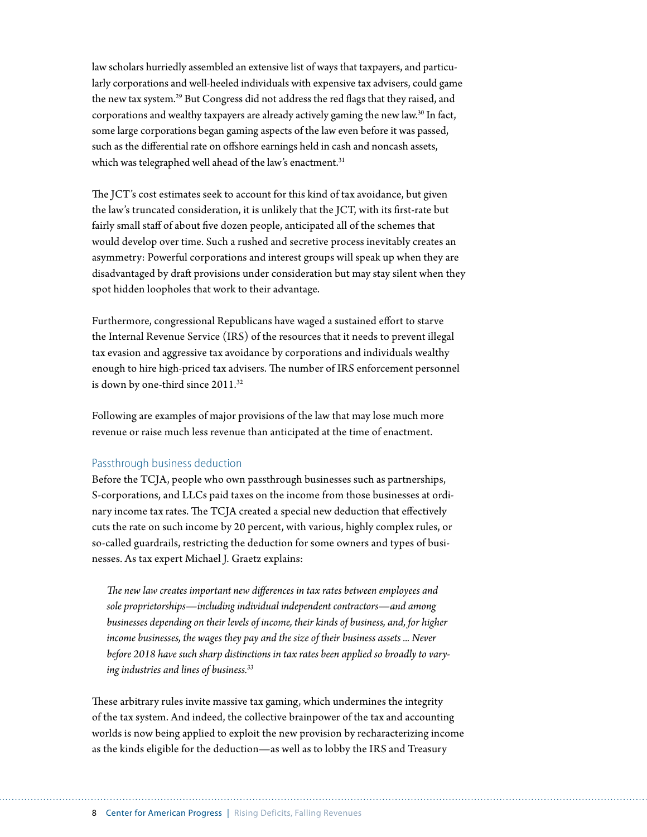law scholars hurriedly assembled an extensive list of ways that taxpayers, and particularly corporations and well-heeled individuals with expensive tax advisers, could game the new tax system.29 But Congress did not address the red flags that they raised, and corporations and wealthy taxpayers are already actively gaming the new law.30 In fact, some large corporations began gaming aspects of the law even before it was passed, such as the differential rate on offshore earnings held in cash and noncash assets, which was telegraphed well ahead of the law's enactment.<sup>31</sup>

The JCT's cost estimates seek to account for this kind of tax avoidance, but given the law's truncated consideration, it is unlikely that the JCT, with its first-rate but fairly small staff of about five dozen people, anticipated all of the schemes that would develop over time. Such a rushed and secretive process inevitably creates an asymmetry: Powerful corporations and interest groups will speak up when they are disadvantaged by draft provisions under consideration but may stay silent when they spot hidden loopholes that work to their advantage.

Furthermore, congressional Republicans have waged a sustained effort to starve the Internal Revenue Service (IRS) of the resources that it needs to prevent illegal tax evasion and aggressive tax avoidance by corporations and individuals wealthy enough to hire high-priced tax advisers. The number of IRS enforcement personnel is down by one-third since 2011.<sup>32</sup>

Following are examples of major provisions of the law that may lose much more revenue or raise much less revenue than anticipated at the time of enactment.

#### Passthrough business deduction

Before the TCJA, people who own passthrough businesses such as partnerships, S-corporations, and LLCs paid taxes on the income from those businesses at ordinary income tax rates. The TCJA created a special new deduction that effectively cuts the rate on such income by 20 percent, with various, highly complex rules, or so-called guardrails, restricting the deduction for some owners and types of businesses. As tax expert Michael J. Graetz explains:

*The new law creates important new differences in tax rates between employees and sole proprietorships—including individual independent contractors—and among businesses depending on their levels of income, their kinds of business, and, for higher income businesses, the wages they pay and the size of their business assets ... Never before 2018 have such sharp distinctions in tax rates been applied so broadly to varying industries and lines of business.33*

These arbitrary rules invite massive tax gaming, which undermines the integrity of the tax system. And indeed, the collective brainpower of the tax and accounting worlds is now being applied to exploit the new provision by recharacterizing income as the kinds eligible for the deduction—as well as to lobby the IRS and Treasury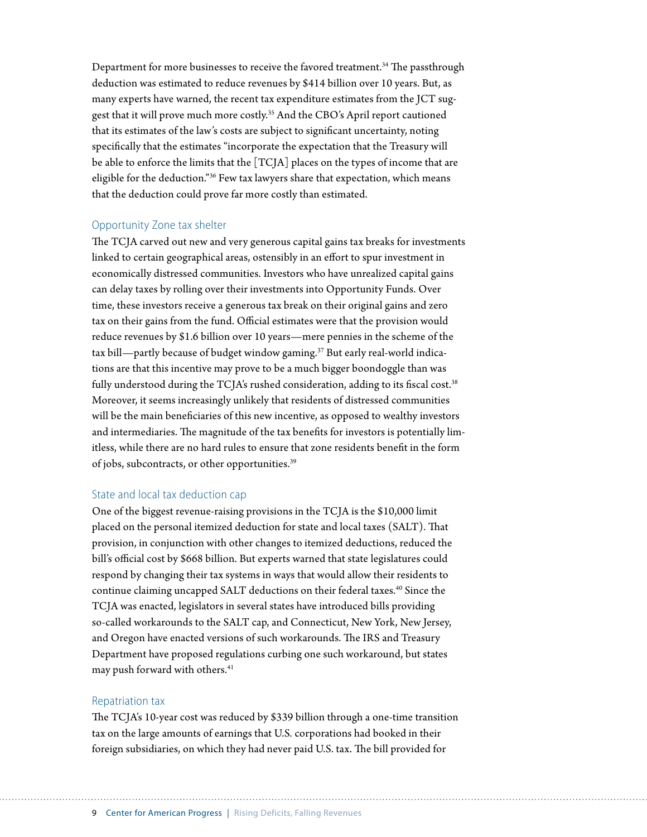Department for more businesses to receive the favored treatment.<sup>34</sup> The passthrough deduction was estimated to reduce revenues by \$414 billion over 10 years. But, as many experts have warned, the recent tax expenditure estimates from the JCT suggest that it will prove much more costly.35 And the CBO's April report cautioned that its estimates of the law's costs are subject to significant uncertainty, noting specifically that the estimates "incorporate the expectation that the Treasury will be able to enforce the limits that the [TCJA] places on the types of income that are eligible for the deduction."36 Few tax lawyers share that expectation, which means that the deduction could prove far more costly than estimated.

#### Opportunity Zone tax shelter

The TCJA carved out new and very generous capital gains tax breaks for investments linked to certain geographical areas, ostensibly in an effort to spur investment in economically distressed communities. Investors who have unrealized capital gains can delay taxes by rolling over their investments into Opportunity Funds. Over time, these investors receive a generous tax break on their original gains and zero tax on their gains from the fund. Official estimates were that the provision would reduce revenues by \$1.6 billion over 10 years—mere pennies in the scheme of the tax bill—partly because of budget window gaming.<sup>37</sup> But early real-world indications are that this incentive may prove to be a much bigger boondoggle than was fully understood during the TCJA's rushed consideration, adding to its fiscal cost.<sup>38</sup> Moreover, it seems increasingly unlikely that residents of distressed communities will be the main beneficiaries of this new incentive, as opposed to wealthy investors and intermediaries. The magnitude of the tax benefits for investors is potentially limitless, while there are no hard rules to ensure that zone residents benefit in the form of jobs, subcontracts, or other opportunities.39

#### State and local tax deduction cap

One of the biggest revenue-raising provisions in the TCJA is the \$10,000 limit placed on the personal itemized deduction for state and local taxes (SALT). That provision, in conjunction with other changes to itemized deductions, reduced the bill's official cost by \$668 billion. But experts warned that state legislatures could respond by changing their tax systems in ways that would allow their residents to continue claiming uncapped SALT deductions on their federal taxes.<sup>40</sup> Since the TCJA was enacted, legislators in several states have introduced bills providing so-called workarounds to the SALT cap, and Connecticut, New York, New Jersey, and Oregon have enacted versions of such workarounds. The IRS and Treasury Department have proposed regulations curbing one such workaround, but states may push forward with others.<sup>41</sup>

#### Repatriation tax

The TCJA's 10-year cost was reduced by \$339 billion through a one-time transition tax on the large amounts of earnings that U.S. corporations had booked in their foreign subsidiaries, on which they had never paid U.S. tax. The bill provided for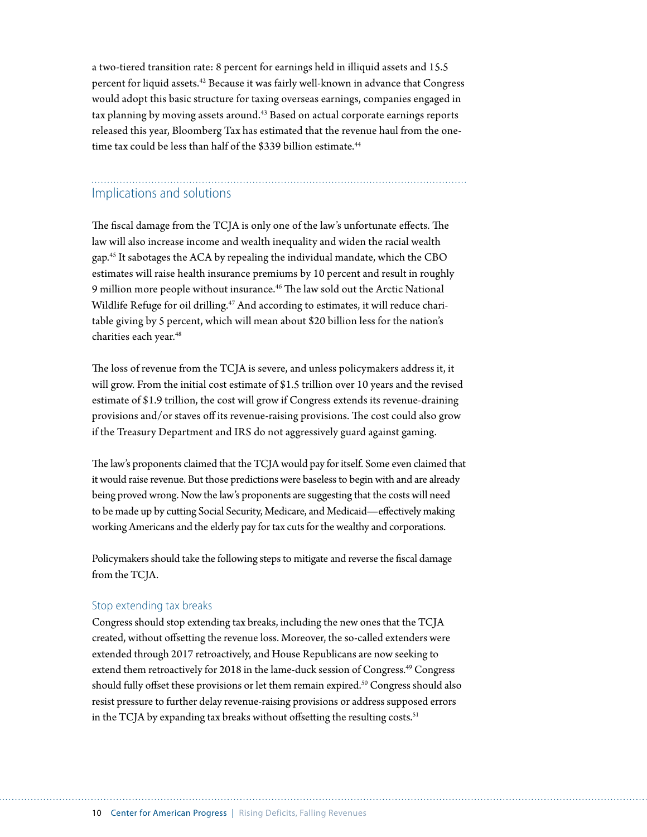a two-tiered transition rate: 8 percent for earnings held in illiquid assets and 15.5 percent for liquid assets.42 Because it was fairly well-known in advance that Congress would adopt this basic structure for taxing overseas earnings, companies engaged in tax planning by moving assets around.<sup>43</sup> Based on actual corporate earnings reports released this year, Bloomberg Tax has estimated that the revenue haul from the onetime tax could be less than half of the \$339 billion estimate.<sup>44</sup>

### Implications and solutions

The fiscal damage from the TCJA is only one of the law's unfortunate effects. The law will also increase income and wealth inequality and widen the racial wealth gap.45 It sabotages the ACA by repealing the individual mandate, which the CBO estimates will raise health insurance premiums by 10 percent and result in roughly 9 million more people without insurance.<sup>46</sup> The law sold out the Arctic National Wildlife Refuge for oil drilling.<sup>47</sup> And according to estimates, it will reduce charitable giving by 5 percent, which will mean about \$20 billion less for the nation's charities each year.<sup>48</sup>

The loss of revenue from the TCJA is severe, and unless policymakers address it, it will grow. From the initial cost estimate of \$1.5 trillion over 10 years and the revised estimate of \$1.9 trillion, the cost will grow if Congress extends its revenue-draining provisions and/or staves off its revenue-raising provisions. The cost could also grow if the Treasury Department and IRS do not aggressively guard against gaming.

The law's proponents claimed that the TCJA would pay for itself. Some even claimed that it would raise revenue. But those predictions were baseless to begin with and are already being proved wrong. Now the law's proponents are suggesting that the costs will need to be made up by cutting Social Security, Medicare, and Medicaid—effectively making working Americans and the elderly pay for tax cuts for the wealthy and corporations.

Policymakers should take the following steps to mitigate and reverse the fiscal damage from the TCJA.

#### Stop extending tax breaks

Congress should stop extending tax breaks, including the new ones that the TCJA created, without offsetting the revenue loss. Moreover, the so-called extenders were extended through 2017 retroactively, and House Republicans are now seeking to extend them retroactively for 2018 in the lame-duck session of Congress.<sup>49</sup> Congress should fully offset these provisions or let them remain expired.<sup>50</sup> Congress should also resist pressure to further delay revenue-raising provisions or address supposed errors in the TCJA by expanding tax breaks without offsetting the resulting costs.<sup>51</sup>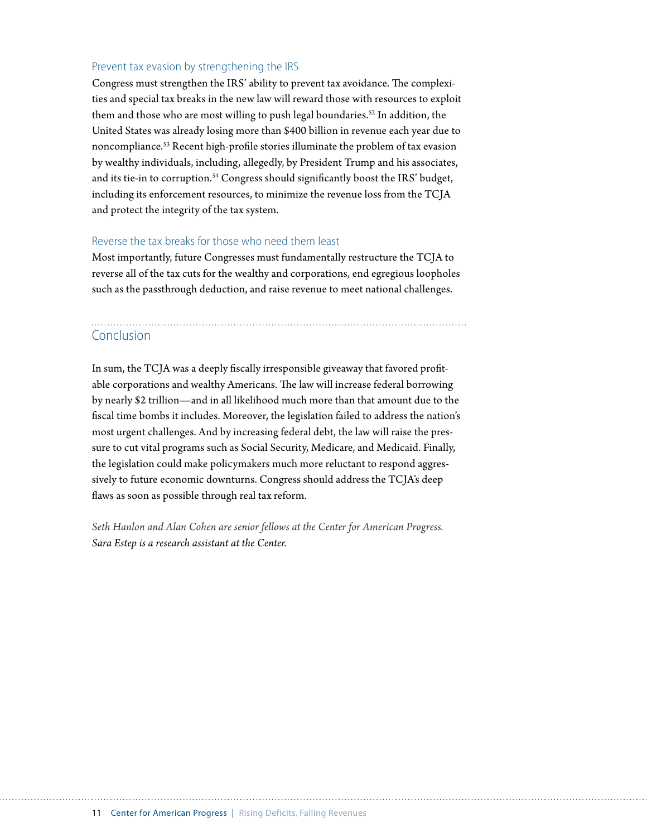#### Prevent tax evasion by strengthening the IRS

Congress must strengthen the IRS' ability to prevent tax avoidance. The complexities and special tax breaks in the new law will reward those with resources to exploit them and those who are most willing to push legal boundaries.<sup>52</sup> In addition, the United States was already losing more than \$400 billion in revenue each year due to noncompliance.53 Recent high-profile stories illuminate the problem of tax evasion by wealthy individuals, including, allegedly, by President Trump and his associates, and its tie-in to corruption.<sup>54</sup> Congress should significantly boost the IRS' budget, including its enforcement resources, to minimize the revenue loss from the TCJA and protect the integrity of the tax system.

#### Reverse the tax breaks for those who need them least

Most importantly, future Congresses must fundamentally restructure the TCJA to reverse all of the tax cuts for the wealthy and corporations, end egregious loopholes such as the passthrough deduction, and raise revenue to meet national challenges.

## Conclusion

In sum, the TCJA was a deeply fiscally irresponsible giveaway that favored profitable corporations and wealthy Americans. The law will increase federal borrowing by nearly \$2 trillion—and in all likelihood much more than that amount due to the fiscal time bombs it includes. Moreover, the legislation failed to address the nation's most urgent challenges. And by increasing federal debt, the law will raise the pressure to cut vital programs such as Social Security, Medicare, and Medicaid. Finally, the legislation could make policymakers much more reluctant to respond aggressively to future economic downturns. Congress should address the TCJA's deep flaws as soon as possible through real tax reform.

*Seth Hanlon and Alan Cohen are senior fellows at the Center for American Progress. Sara Estep is a research assistant at the Center.*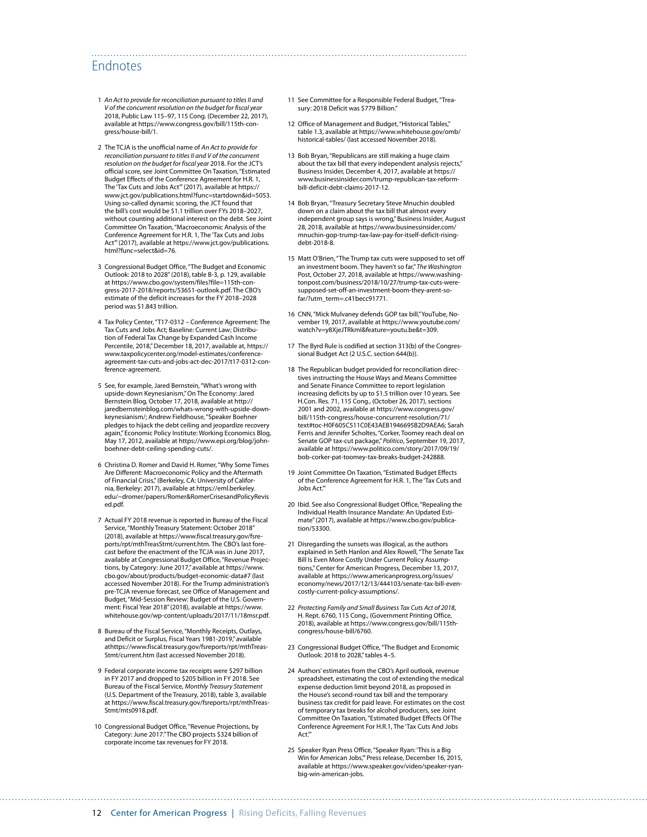### Endnotes

- 1 *An Act to provide for reconciliation pursuant to titles II and V of the concurrent resolution on the budget for fiscal year*  2018, Public Law 115–97, 115 Cong. (December 22, 2017), available at [https://www.congress.gov/bill/115th-con](https://www.congress.gov/bill/115th-congress/house-bill/1)[gress/house-bill/1.](https://www.congress.gov/bill/115th-congress/house-bill/1)
- 2 The TCJA is the unofficial name of *An Act to provide for reconciliation pursuant to titles II and V of the concurrent resolution on the budget for fiscal year* 2018. For the JCT's official score, see Joint Committee On Taxation, "Estimated Budget Effects of the Conference Agreement for H.R. 1, The 'Tax Cuts and Jobs Act'" (2017), available at [https://](https://www.jct.gov/publications.html?func=startdown&id=5053) [www.jct.gov/publications.html?func=startdown&id=5053](https://www.jct.gov/publications.html?func=startdown&id=5053). Using so-called dynamic scoring, the JCT found that the bill's cost would be \$1.1 trillion over FYs 2018–2027, without counting additional interest on the debt. See Joint Committee On Taxation, "Macroeconomic Analysis of the Conference Agreement for H.R. 1, The 'Tax Cuts and Jobs Act'" (2017), available at [https://www.jct.gov/publications.](https://www.jct.gov/publications.html?func=select&id=76) [html?func=select&id=76.](https://www.jct.gov/publications.html?func=select&id=76)
- 3 Congressional Budget Office, "The Budget and Economic Outlook: 2018 to 2028" (2018), table B-3, p. 129, available at [https://www.cbo.gov/system/files?file=115th-con](https://www.cbo.gov/system/files?file=115th-congress-2017-2018/reports/53651-outlook.pdf)[gress-2017-2018/reports/53651-outlook.pdf](https://www.cbo.gov/system/files?file=115th-congress-2017-2018/reports/53651-outlook.pdf). The CBO's estimate of the deficit increases for the FY 2018–2028 period was \$1.843 trillion.
- 4 Tax Policy Center, "T17-0312 Conference Agreement: The Tax Cuts and Jobs Act; Baseline: Current Law; Distribution of Federal Tax Change by Expanded Cash Income Percentile, 2018," December 18, 2017, available at, [https://](https://www.taxpolicycenter.org/model-estimates/conference-agreement-tax-cuts-and-jobs-act-dec-2017/t17-0312-conference-agreement) [www.taxpolicycenter.org/model-estimates/conference](https://www.taxpolicycenter.org/model-estimates/conference-agreement-tax-cuts-and-jobs-act-dec-2017/t17-0312-conference-agreement)[agreement-tax-cuts-and-jobs-act-dec-2017/t17-0312-con](https://www.taxpolicycenter.org/model-estimates/conference-agreement-tax-cuts-and-jobs-act-dec-2017/t17-0312-conference-agreement)[ference-agreement](https://www.taxpolicycenter.org/model-estimates/conference-agreement-tax-cuts-and-jobs-act-dec-2017/t17-0312-conference-agreement).
- 5 See, for example, Jared Bernstein, "What's wrong with upside-down Keynesianism," On The Economy: Jared Bernstein Blog, October 17, 2018, available at [http://](http://jaredbernsteinblog.com/whats-wrong-with-upside-down-keynesianism/) [jaredbernsteinblog.com/whats-wrong-with-upside-down](http://jaredbernsteinblog.com/whats-wrong-with-upside-down-keynesianism/)[keynesianism/;](http://jaredbernsteinblog.com/whats-wrong-with-upside-down-keynesianism/) Andrew Fieldhouse, "Speaker Boehner pledges to hijack the debt ceiling and jeopardize recovery again," Economic Policy Institute: Working Economics Blog, May 17, 2012, available at [https://www.epi.org/blog/john](https://www.epi.org/blog/john-boehner-debt-ceiling-spending-cuts/)[boehner-debt-ceiling-spending-cuts/](https://www.epi.org/blog/john-boehner-debt-ceiling-spending-cuts/).
- 6 Christina D. Romer and David H. Romer, "Why Some Times Are Different: Macroeconomic Policy and the Aftermath of Financial Crisis," (Berkeley, CA: University of California, Berkeley: 2017), available at [https://eml.berkeley.](https://eml.berkeley.edu/~dromer/papers/Romer&RomerCrisesandPolicyRevised.pdf) [edu/~dromer/papers/Romer&RomerCrisesandPolicyRevis](https://eml.berkeley.edu/~dromer/papers/Romer&RomerCrisesandPolicyRevised.pdf) [ed.pdf](https://eml.berkeley.edu/~dromer/papers/Romer&RomerCrisesandPolicyRevised.pdf).
- 7 Actual FY 2018 revenue is reported in Bureau of the Fiscal Service, "Monthly Treasury Statement: October 2018" (2018), available at [https://www.fiscal.treasury.gov/fsre](https://www.fiscal.treasury.gov/fsreports/rpt/mthTreasStmt/current.htm)[ports/rpt/mthTreasStmt/current.htm.](https://www.fiscal.treasury.gov/fsreports/rpt/mthTreasStmt/current.htm) The CBO's last forecast before the enactment of the TCJA was in June 2017, available at Congressional Budget Office, "Revenue Projections, by Category: June 2017," available at https://www. cbo.gov/about/products/budget-economic-data#7 (last accessed November 2018). For the Trump administration's pre-TCJA revenue forecast, see Office of Management and Budget, "Mid-Session Review: Budget of the U.S. Government: Fiscal Year 2018" (2018), available at [https://www.](https://www.whitehouse.gov/wp-content/uploads/2017/11/18msr.pdf) [whitehouse.gov/wp-content/uploads/2017/11/18msr.pdf](https://www.whitehouse.gov/wp-content/uploads/2017/11/18msr.pdf).
- 8 Bureau of the Fiscal Service, "Monthly Receipts, Outlays, and Deficit or Surplus, Fiscal Years 1981-2019," available athttps://www.fiscal.treasury.gov/fsreports/rpt/mthTreas-Stmt/current.htm (last accessed November 2018).
- 9 Federal corporate income tax receipts were \$297 billion in FY 2017 and dropped to \$205 billion in FY 2018. See Bureau of the Fiscal Service, *Monthly Treasury Statement* (U.S. Department of the Treasury, 2018), table 3, available at [https://www.fiscal.treasury.gov/fsreports/rpt/mthTreas-](https://www.fiscal.treasury.gov/fsreports/rpt/mthTreasStmt/mts0918.pdf)[Stmt/mts0918.pdf](https://www.fiscal.treasury.gov/fsreports/rpt/mthTreasStmt/mts0918.pdf).
- 10 Congressional Budget Office, "Revenue Projections, by Category: June 2017." The CBO projects \$324 billion of corporate income tax revenues for FY 2018.

11 See Committee for a Responsible Federal Budget, "Treasury: 2018 Deficit was \$779 Billion."

- 12 Office of Management and Budget, "Historical Tables," table 1.3, available at [https://www.whitehouse.gov/omb/](https://www.whitehouse.gov/omb/historical-tables/) [historical-tables/](https://www.whitehouse.gov/omb/historical-tables/) (last accessed November 2018).
- 13 Bob Bryan, "Republicans are still making a huge claim about the tax bill that every independent analysis rejects," Business Insider, December 4, 2017, available at [https://](https://www.businessinsider.com/trump-republican-tax-reform-bill-deficit-debt-claims-2017-12) [www.businessinsider.com/trump-republican-tax-reform](https://www.businessinsider.com/trump-republican-tax-reform-bill-deficit-debt-claims-2017-12)[bill-deficit-debt-claims-2017-12](https://www.businessinsider.com/trump-republican-tax-reform-bill-deficit-debt-claims-2017-12).
- 14 Bob Bryan, "Treasury Secretary Steve Mnuchin doubled down on a claim about the tax bill that almost every independent group says is wrong," Business Insider, August 28, 2018, available at [https://www.businessinsider.com/](https://www.businessinsider.com/mnuchin-gop-trump-tax-law-pay-for-itself-deficit-rising-debt-2018-8) [mnuchin-gop-trump-tax-law-pay-for-itself-deficit-rising](https://www.businessinsider.com/mnuchin-gop-trump-tax-law-pay-for-itself-deficit-rising-debt-2018-8)[debt-2018-8](https://www.businessinsider.com/mnuchin-gop-trump-tax-law-pay-for-itself-deficit-rising-debt-2018-8).
- 15 Matt O'Brien, "The Trump tax cuts were supposed to set off an investment boom. They haven't so far," *The Washington*  Post, October 27, 2018, available at [https://www.washing](https://www.washingtonpost.com/business/2018/10/27/trump-tax-cuts-were-supposed-set-off-an-investment-boom-they-arent-so-far/?utm_term=.c41becc91771)[tonpost.com/business/2018/10/27/trump-tax-cuts-were](https://www.washingtonpost.com/business/2018/10/27/trump-tax-cuts-were-supposed-set-off-an-investment-boom-they-arent-so-far/?utm_term=.c41becc91771)[supposed-set-off-an-investment-boom-they-arent-so](https://www.washingtonpost.com/business/2018/10/27/trump-tax-cuts-were-supposed-set-off-an-investment-boom-they-arent-so-far/?utm_term=.c41becc91771)[far/?utm\\_term=.c41becc91771.](https://www.washingtonpost.com/business/2018/10/27/trump-tax-cuts-were-supposed-set-off-an-investment-boom-they-arent-so-far/?utm_term=.c41becc91771)
- 16 CNN, "Mick Mulvaney defends GOP tax bill," YouTube, November 19, 2017, available at [https://www.youtube.com/](https://www.youtube.com/watch?v=y8XjeJTRkmI&feature=youtu.be&t=309) [watch?v=y8XjeJTRkmI&feature=youtu.be&t=309.](https://www.youtube.com/watch?v=y8XjeJTRkmI&feature=youtu.be&t=309)
- 17 The Byrd Rule is codified at section 313(b) of the Congressional Budget Act (2 U.S.C. section 644(b)).
- 18 The Republican budget provided for reconciliation directives instructing the House Ways and Means Committee and Senate Finance Committee to report legislation increasing deficits by up to \$1.5 trillion over 10 years. See H.Con. Res. 71, 115 Cong., (October 26, 2017), sections 2001 and 2002, available at [https://www.congress.gov/](https://www.congress.gov/bill/115th-congress/house-concurrent-resolution/71/text#toc-H0F605C511C0E43AEB1946695B2D9AEA6) [bill/115th-congress/house-concurrent-resolution/71/](https://www.congress.gov/bill/115th-congress/house-concurrent-resolution/71/text#toc-H0F605C511C0E43AEB1946695B2D9AEA6) [text#toc-H0F605C511C0E43AEB1946695B2D9AEA6](https://www.congress.gov/bill/115th-congress/house-concurrent-resolution/71/text#toc-H0F605C511C0E43AEB1946695B2D9AEA6); Sarah Ferris and Jennifer Scholtes, "Corker, Toomey reach deal on Senate GOP tax-cut package," *Politico*, September 19, 2017, available at [https://www.politico.com/story/2017/09/19/](https://www.politico.com/story/2017/09/19/bob-corker-pat-toomey-tax-breaks-budget-242888) [bob-corker-pat-toomey-tax-breaks-budget-242888](https://www.politico.com/story/2017/09/19/bob-corker-pat-toomey-tax-breaks-budget-242888).
- 19 Joint Committee On Taxation, "Estimated Budget Effects of the Conference Agreement for H.R. 1, The 'Tax Cuts and Jobs Act.'"
- 20 Ibid. See also Congressional Budget Office, "Repealing the Individual Health Insurance Mandate: An Updated Estimate" (2017), available at [https://www.cbo.gov/publica](https://www.cbo.gov/publication/53300)[tion/53300.](https://www.cbo.gov/publication/53300)
- 21 Disregarding the sunsets was illogical, as the authors explained in Seth Hanlon and Alex Rowell, "The Senate Tax Bill Is Even More Costly Under Current Policy Assumptions," Center for American Progress, December 13, 2017, available at [https://www.americanprogress.org/issues/](https://www.americanprogress.org/issues/economy/news/2017/12/13/444103/senate-tax-bill-even-costly-current-policy-assumptions/) [economy/news/2017/12/13/444103/senate-tax-bill-even](https://www.americanprogress.org/issues/economy/news/2017/12/13/444103/senate-tax-bill-even-costly-current-policy-assumptions/)[costly-current-policy-assumptions/.](https://www.americanprogress.org/issues/economy/news/2017/12/13/444103/senate-tax-bill-even-costly-current-policy-assumptions/)
- 22 *Protecting Family and Small Business Tax Cuts Act of 2018*, H. Rept. 6760, 115 Cong., (Government Printing Office, 2018), available at [https://www.congress.gov/bill/115th](https://www.congress.gov/bill/115th-congress/house-bill/6760)[congress/house-bill/6760](https://www.congress.gov/bill/115th-congress/house-bill/6760).
- 23 Congressional Budget Office, "The Budget and Economic Outlook: 2018 to 2028," tables 4–5.
- 24 Authors' estimates from the CBO's April outlook, revenue spreadsheet, estimating the cost of extending the medical expense deduction limit beyond 2018, as proposed in the House's second-round tax bill and the temporary business tax credit for paid leave. For estimates on the cost of temporary tax breaks for alcohol producers, see Joint Committee On Taxation, "Estimated Budget Effects Of The Conference Agreement For H.R.1, The 'Tax Cuts And Jobs Act.'"
- 25 Speaker Ryan Press Office, "Speaker Ryan: 'This is a Big Win for American Jobs,'" Press release, December 16, 2015, available at [https://www.speaker.gov/video/speaker-ryan](https://www.speaker.gov/video/speaker-ryan-big-win-american-jobs)[big-win-american-jobs](https://www.speaker.gov/video/speaker-ryan-big-win-american-jobs).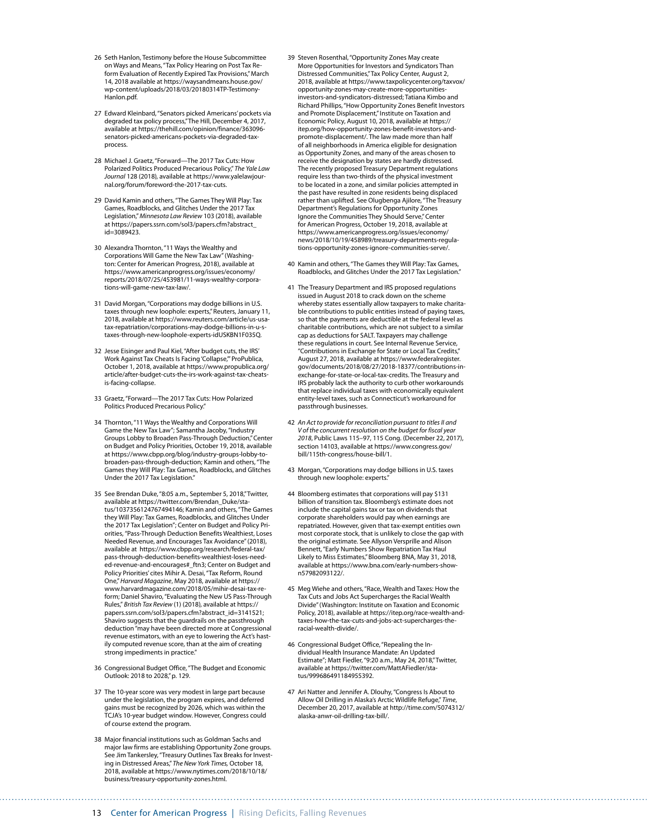- 26 Seth Hanlon, Testimony before the House Subcommittee on Ways and Means, "Tax Policy Hearing on Post Tax Reform Evaluation of Recently Expired Tax Provisions," March 14, 2018 available at [https://waysandmeans.house.gov/](https://waysandmeans.house.gov/wp-content/uploads/2018/03/20180314TP-Testimony-Hanlon.pdf) [wp-content/uploads/2018/03/20180314TP-Testimony-](https://waysandmeans.house.gov/wp-content/uploads/2018/03/20180314TP-Testimony-Hanlon.pdf)[Hanlon.pdf](https://waysandmeans.house.gov/wp-content/uploads/2018/03/20180314TP-Testimony-Hanlon.pdf).
- 27 Edward Kleinbard, "Senators picked Americans' pockets via degraded tax policy process," The Hill, December 4, 2017, available at [https://thehill.com/opinion/finance/363096](https://thehill.com/opinion/finance/363096-senators-picked-americans-pockets-via-degraded-tax-process) [senators-picked-americans-pockets-via-degraded-tax](https://thehill.com/opinion/finance/363096-senators-picked-americans-pockets-via-degraded-tax-process)[process.](https://thehill.com/opinion/finance/363096-senators-picked-americans-pockets-via-degraded-tax-process)
- 28 Michael J. Graetz, "Forward—The 2017 Tax Cuts: How Polarized Politics Produced Precarious Policy," *The Yale Law Journal* 128 (2018)*,* available at [https://www.yalelawjour](https://www.yalelawjournal.org/forum/foreword-the-2017-tax-cuts)[nal.org/forum/foreword-the-2017-tax-cuts.](https://www.yalelawjournal.org/forum/foreword-the-2017-tax-cuts)
- 29 David Kamin and others, "The Games They Will Play: Tax Games, Roadblocks, and Glitches Under the 2017 Tax Legislation," *Minnesota Law Review* 103 (2018), available at [https://papers.ssrn.com/sol3/papers.cfm?abstract\\_](https://papers.ssrn.com/sol3/papers.cfm?abstract_id=3089423)  $id = 3089423$
- 30 Alexandra Thornton, "11 Ways the Wealthy and Corporations Will Game the New Tax Law" (Washington: Center for American Progress, 2018), available at [https://www.americanprogress.org/issues/economy/](https://www.americanprogress.org/issues/economy/reports/2018/07/25/453981/11-ways-wealthy-corporations-will-game-new-tax-law/) [reports/2018/07/25/453981/11-ways-wealthy-corpora](https://www.americanprogress.org/issues/economy/reports/2018/07/25/453981/11-ways-wealthy-corporations-will-game-new-tax-law/)[tions-will-game-new-tax-law/.](https://www.americanprogress.org/issues/economy/reports/2018/07/25/453981/11-ways-wealthy-corporations-will-game-new-tax-law/)
- 31 David Morgan, "Corporations may dodge billions in U.S. taxes through new loophole: experts," Reuters, January 11, 2018, available at [https://www.reuters.com/article/us-usa](https://www.reuters.com/article/us-usa-tax-repatriation/corporations-may-dodge-billions-in-u-s-taxes-through-new-loophole-experts-idUSKBN1F035Q)[tax-repatriation/corporations-may-dodge-billions-in-u-s](https://www.reuters.com/article/us-usa-tax-repatriation/corporations-may-dodge-billions-in-u-s-taxes-through-new-loophole-experts-idUSKBN1F035Q)[taxes-through-new-loophole-experts-idUSKBN1F035Q](https://www.reuters.com/article/us-usa-tax-repatriation/corporations-may-dodge-billions-in-u-s-taxes-through-new-loophole-experts-idUSKBN1F035Q).
- 32 Jesse Eisinger and Paul Kiel, "After budget cuts, the IRS' Work Against Tax Cheats Is Facing 'Collapse,'" ProPublica, October 1, 2018, available at [https://www.propublica.org/](https://www.propublica.org/article/after-budget-cuts-the-irs-work-against-tax-cheats-is-facing-collapse) [article/after-budget-cuts-the-irs-work-against-tax-cheats](https://www.propublica.org/article/after-budget-cuts-the-irs-work-against-tax-cheats-is-facing-collapse)[is-facing-collapse](https://www.propublica.org/article/after-budget-cuts-the-irs-work-against-tax-cheats-is-facing-collapse).
- 33 Graetz, "Forward—The 2017 Tax Cuts: How Polarized Politics Produced Precarious Policy."
- 34 Thornton, "11 Ways the Wealthy and Corporations Will Game the New Tax Law"; Samantha Jacoby, "Industry Groups Lobby to Broaden Pass-Through Deduction," Center on Budget and Policy Priorities, October 19, 2018, available at [https://www.cbpp.org/blog/industry-groups-lobby-to](https://www.cbpp.org/blog/industry-groups-lobby-to-broaden-pass-through-deduction)[broaden-pass-through-deduction](https://www.cbpp.org/blog/industry-groups-lobby-to-broaden-pass-through-deduction); Kamin and others, "The Games they Will Play: Tax Games, Roadblocks, and Glitches Under the 2017 Tax Legislation."
- 35 See Brendan Duke, "8:05 a.m., September 5, 2018," Twitter, available at [https://twitter.com/Brendan\\_Duke/sta](https://twitter.com/Brendan_Duke/status/1037356124767494146)[tus/1037356124767494146;](https://twitter.com/Brendan_Duke/status/1037356124767494146) Kamin and others, "The Games they Will Play: Tax Games, Roadblocks, and Glitches Under the 2017 Tax Legislation"; Center on Budget and Policy Priorities, "Pass-Through Deduction Benefits Wealthiest, Loses Needed Revenue, and Encourages Tax Avoidance" (2018), available at https://www.cbpp.org/research/federal-tax/ pass-through-deduction-benefits-wealthiest-loses-needed-revenue-and-encourages#\_ftn3; Center on Budget and Policy Priorities' cites Mihir A. Desai, "Tax Reform, Round One," *Harvard Magazine*, May 2018, available at [https://](https://www.harvardmagazine.com/2018/05/mihir-desai-tax-reform) [www.harvardmagazine.com/2018/05/mihir-desai-tax-re](https://www.harvardmagazine.com/2018/05/mihir-desai-tax-reform)[form;](https://www.harvardmagazine.com/2018/05/mihir-desai-tax-reform) Daniel Shaviro, "Evaluating the New US Pass-Through Rules," *British Tax Review* (1) (2018)*,* available at [https://](https://papers.ssrn.com/sol3/papers.cfm?abstract_id=3141521) [papers.ssrn.com/sol3/papers.cfm?abstract\\_id=3141521;](https://papers.ssrn.com/sol3/papers.cfm?abstract_id=3141521) Shaviro suggests that the guardrails on the passthrough deduction "may have been directed more at Congressional revenue estimators, with an eye to lowering the Act's hastily computed revenue score, than at the aim of creating strong impediments in practice."
- 36 Congressional Budget Office, "The Budget and Economic Outlook: 2018 to 2028," p. 129.
- 37 The 10-year score was very modest in large part because under the legislation, the program expires, and deferred gains must be recognized by 2026, which was within the TCJA's 10-year budget window. However, Congress could of course extend the program.
- 38 Major financial institutions such as Goldman Sachs and major law firms are establishing Opportunity Zone groups. See Jim Tankersley, "Treasury Outlines Tax Breaks for Investing in Distressed Areas," *The New York Times,* October 18, 2018, available at [https://www.nytimes.com/2018/10/18/](https://www.nytimes.com/2018/10/18/business/treasury-opportunity-zones.html) [business/treasury-opportunity-zones.html](https://www.nytimes.com/2018/10/18/business/treasury-opportunity-zones.html).
- 39 Steven Rosenthal, "Opportunity Zones May create More Opportunities for Investors and Syndicators Than Distressed Communities," Tax Policy Center, August 2, 2018, available at [https://www.taxpolicycenter.org/taxvox/](https://www.taxpolicycenter.org/taxvox/opportunity-zones-may-create-more-opportunities-investors-and-syndicators-distressed) [opportunity-zones-may-create-more-opportunities](https://www.taxpolicycenter.org/taxvox/opportunity-zones-may-create-more-opportunities-investors-and-syndicators-distressed)[investors-and-syndicators-distressed;](https://www.taxpolicycenter.org/taxvox/opportunity-zones-may-create-more-opportunities-investors-and-syndicators-distressed) Tatiana Kimbo and Richard Phillips, "How Opportunity Zones Benefit Investors and Promote Displacement," Institute on Taxation and Economic Policy, August 10, 2018, available at [https://](https://itep.org/how-opportunity-zones-benefit-investors-and-promote-displacement/) [itep.org/how-opportunity-zones-benefit-investors-and](https://itep.org/how-opportunity-zones-benefit-investors-and-promote-displacement/)[promote-displacement/.](https://itep.org/how-opportunity-zones-benefit-investors-and-promote-displacement/) The law made more than half of all neighborhoods in America eligible for designation as Opportunity Zones, and many of the areas chosen to receive the designation by states are hardly distressed. The recently proposed Treasury Department regulations require less than two-thirds of the physical investment to be located in a zone, and similar policies attempted in the past have resulted in zone residents being displaced rather than uplifted. See Olugbenga Ajilore, "The Treasury Department's Regulations for Opportunity Zones Ignore the Communities They Should Serve," Center for American Progress, October 19, 2018, available at [https://www.americanprogress.org/issues/economy/](https://www.americanprogress.org/issues/economy/news/2018/10/19/458989/treasury-departments-regulations-opportunity-zones-ignore-communities-serve/) [news/2018/10/19/458989/treasury-departments-regula](https://www.americanprogress.org/issues/economy/news/2018/10/19/458989/treasury-departments-regulations-opportunity-zones-ignore-communities-serve/)[tions-opportunity-zones-ignore-communities-serve/](https://www.americanprogress.org/issues/economy/news/2018/10/19/458989/treasury-departments-regulations-opportunity-zones-ignore-communities-serve/).
- 40 Kamin and others, "The Games they Will Play: Tax Games, Roadblocks, and Glitches Under the 2017 Tax Legislation."
- 41 The Treasury Department and IRS proposed regulations issued in August 2018 to crack down on the scheme whereby states essentially allow taxpayers to make charitable contributions to public entities instead of paying taxes, so that the payments are deductible at the federal level as charitable contributions, which are not subject to a similar cap as deductions for SALT. Taxpayers may challenge these regulations in court. See Internal Revenue Service, "Contributions in Exchange for State or Local Tax Credits," August 27, 2018, available at [https://www.federalregister.](https://www.federalregister.gov/documents/2018/08/27/2018-18377/contributions-in-exchange-for-state-or-local-tax-credits) [gov/documents/2018/08/27/2018-18377/contributions-in](https://www.federalregister.gov/documents/2018/08/27/2018-18377/contributions-in-exchange-for-state-or-local-tax-credits)[exchange-for-state-or-local-tax-credits](https://www.federalregister.gov/documents/2018/08/27/2018-18377/contributions-in-exchange-for-state-or-local-tax-credits). The Treasury and IRS probably lack the authority to curb other workarounds that replace individual taxes with economically equivalent entity-level taxes, such as Connecticut's workaround for passthrough businesses.
- 42 *An Act to provide for reconciliation pursuant to titles II and V of the concurrent resolution on the budget for fiscal year 2018*, Public Laws 115–97, 115 Cong. (December 22, 2017), section 14103, available at [https://www.congress.gov/](https://www.congress.gov/bill/115th-congress/house-bill/1) [bill/115th-congress/house-bill/1](https://www.congress.gov/bill/115th-congress/house-bill/1).
- 43 Morgan, "Corporations may dodge billions in U.S. taxes through new loophole: experts."
- 44 Bloomberg estimates that corporations will pay \$131 billion of transition tax. Bloomberg's estimate does not include the capital gains tax or tax on dividends that corporate shareholders would pay when earnings are repatriated. However, given that tax-exempt entities own most corporate stock, that is unlikely to close the gap with the original estimate. See Allyson Versprille and Alison Bennett, "Early Numbers Show Repatriation Tax Haul Likely to Miss Estimates," Bloomberg BNA, May 31, 2018, available at [https://www.bna.com/early-numbers-show](https://www.bna.com/early-numbers-show-n57982093122/)[n57982093122/.](https://www.bna.com/early-numbers-show-n57982093122/)
- 45 Meg Wiehe and others, "Race, Wealth and Taxes: How the Tax Cuts and Jobs Act Supercharges the Racial Wealth Divide" (Washington: Institute on Taxation and Economic Policy, 2018), available at [https://itep.org/race-wealth-and](https://itep.org/race-wealth-and-taxes-how-the-tax-cuts-and-jobs-act-supercharges-the-racial-wealth-divide/)[taxes-how-the-tax-cuts-and-jobs-act-supercharges-the](https://itep.org/race-wealth-and-taxes-how-the-tax-cuts-and-jobs-act-supercharges-the-racial-wealth-divide/)[racial-wealth-divide/.](https://itep.org/race-wealth-and-taxes-how-the-tax-cuts-and-jobs-act-supercharges-the-racial-wealth-divide/)
- 46 Congressional Budget Office, "Repealing the Individual Health Insurance Mandate: An Updated Estimate"; Matt Fiedler, "9:20 a.m., May 24, 2018," Twitter, available at [https://twitter.com/MattAFiedler/sta](https://twitter.com/MattAFiedler/status/999686491184955392)[tus/999686491184955392.](https://twitter.com/MattAFiedler/status/999686491184955392)
- 47 Ari Natter and Jennifer A. Dlouhy, "Congress Is About to Allow Oil Drilling in Alaska's Arctic Wildlife Refuge," *Time*, December 20, 2017, available at [http://time.com/5074312/](http://time.com/5074312/alaska-anwr-oil-drilling-tax-bill/) [alaska-anwr-oil-drilling-tax-bill/.](http://time.com/5074312/alaska-anwr-oil-drilling-tax-bill/)